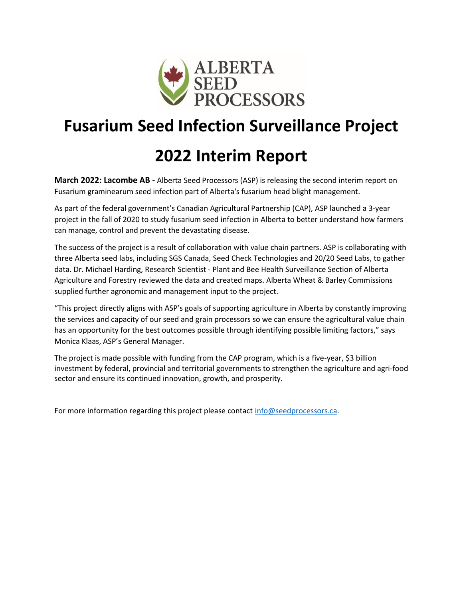

# **Fusarium Seed Infection Surveillance Project**

## **2022 Interim Report**

**March 2022: Lacombe AB -** Alberta Seed Processors (ASP) is releasing the second interim report on Fusarium graminearum seed infection part of Alberta's fusarium head blight management.

As part of the federal government's Canadian Agricultural Partnership (CAP), ASP launched a 3-year project in the fall of 2020 to study fusarium seed infection in Alberta to better understand how farmers can manage, control and prevent the devastating disease.

The success of the project is a result of collaboration with value chain partners. ASP is collaborating with three Alberta seed labs, including SGS Canada, Seed Check Technologies and 20/20 Seed Labs, to gather data. Dr. Michael Harding, Research Scientist - Plant and Bee Health Surveillance Section of Alberta Agriculture and Forestry reviewed the data and created maps. Alberta Wheat & Barley Commissions supplied further agronomic and management input to the project.

"This project directly aligns with ASP's goals of supporting agriculture in Alberta by constantly improving the services and capacity of our seed and grain processors so we can ensure the agricultural value chain has an opportunity for the best outcomes possible through identifying possible limiting factors," says Monica Klaas, ASP's General Manager.

The project is made possible with funding from the CAP program, which is a five-year, \$3 billion investment by federal, provincial and territorial governments to strengthen the agriculture and agri-food sector and ensure its continued innovation, growth, and prosperity.

For more information regarding this project please contact [info@seedprocessors.ca.](file:///C:/Users/sarahnixdorff/Downloads/info@seedprocessors.ca)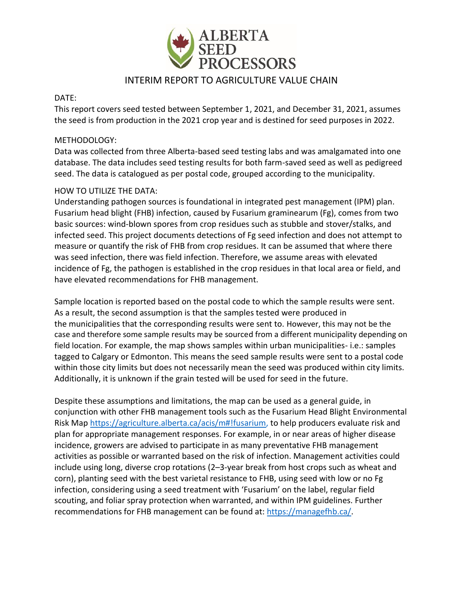

## INTERIM REPORT TO AGRICULTURE VALUE CHAIN

#### DATE:

This report covers seed tested between September 1, 2021, and December 31, 2021, assumes the seed is from production in the 2021 crop year and is destined for seed purposes in 2022.

#### METHODOLOGY:

Data was collected from three Alberta-based seed testing labs and was amalgamated into one database. The data includes seed testing results for both farm-saved seed as well as pedigreed seed. The data is catalogued as per postal code, grouped according to the municipality.

#### HOW TO UTILIZE THE DATA:

Understanding pathogen sources is foundational in integrated pest management (IPM) plan. Fusarium head blight (FHB) infection, caused by Fusarium graminearum (Fg), comes from two basic sources: wind-blown spores from crop residues such as stubble and stover/stalks, and infected seed. This project documents detections of Fg seed infection and does not attempt to measure or quantify the risk of FHB from crop residues. It can be assumed that where there was seed infection, there was field infection. Therefore, we assume areas with elevated incidence of Fg, the pathogen is established in the crop residues in that local area or field, and have elevated recommendations for FHB management.

Sample location is reported based on the postal code to which the sample results were sent. As a result, the second assumption is that the samples tested were produced in the municipalities that the corresponding results were sent to. However, this may not be the case and therefore some sample results may be sourced from a different municipality depending on field location. For example, the map shows samples within urban municipalities- i.e.: samples tagged to Calgary or Edmonton. This means the seed sample results were sent to a postal code within those city limits but does not necessarily mean the seed was produced within city limits. Additionally, it is unknown if the grain tested will be used for seed in the future.

Despite these assumptions and limitations, the map can be used as a general guide, in conjunction with other FHB management tools such as the Fusarium Head Blight Environmental Risk Map [https://agriculture.alberta.ca/acis/m#!fusarium,](https://agriculture.alberta.ca/acis/m#!fusarium) to help producers evaluate risk and plan for appropriate management responses. For example, in or near areas of higher disease incidence, growers are advised to participate in as many preventative FHB management activities as possible or warranted based on the risk of infection. Management activities could include using long, diverse crop rotations (2–3-year break from host crops such as wheat and corn), planting seed with the best varietal resistance to FHB, using seed with low or no Fg infection, considering using a seed treatment with 'Fusarium' on the label, regular field scouting, and foliar spray protection when warranted, and within IPM guidelines. Further recommendations for FHB management can be found at: [https://managefhb.ca/.](https://managefhb.ca/)